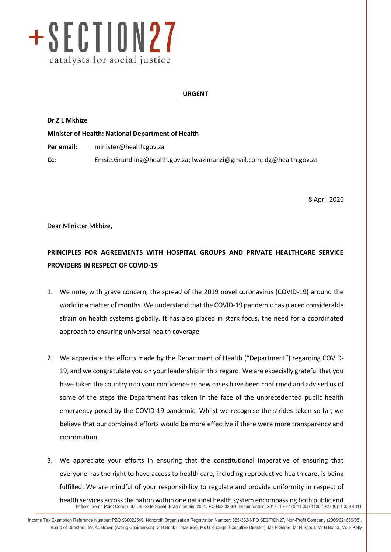

## **URGENT**

**Dr Z L Mkhize**

**Minister of Health: National Department of Health Per email:** [minister@health.gov.za](mailto:minister@health.gov.za) **Cc:** [Emsie.Grundling@health.gov.za;](mailto:Emsie.Grundling@health.gov.za) [lwazimanzi@gmail.com;](mailto:lwazimanzi@gmail.com) dg@health.gov.za

8 April 2020

info@section27.org.za **www.section27.org.za**

Dear Minister Mkhize,

## **PRINCIPLES FOR AGREEMENTS WITH HOSPITAL GROUPS AND PRIVATE HEALTHCARE SERVICE PROVIDERS IN RESPECT OF COVID-19**

- 1. We note, with grave concern, the spread of the 2019 novel coronavirus (COVID-19) around the world in a matter of months. We understand that the COVID-19 pandemic has placed considerable strain on health systems globally. It has also placed in stark focus, the need for a coordinated approach to ensuring universal health coverage.
- 2. We appreciate the efforts made by the Department of Health ("Department") regarding COVID-19, and we congratulate you on your leadership in this regard. We are especially grateful that you have taken the country into your confidence as new cases have been confirmed and advised us of some of the steps the Department has taken in the face of the unprecedented public health emergency posed by the COVID-19 pandemic. Whilst we recognise the strides taken so far, we believe that our combined efforts would be more effective if there were more transparency and coordination.
- 1 st floor, South Point Corner, 87 De Korte Street, Braamfontein, 2001. PO Box 32361, Braamfontein, 2017. T +27 (0)11 356 4100 f +27 (0)11 339 4311 3. We appreciate your efforts in ensuring that the constitutional imperative of ensuring that everyone has the right to have access to health care, including reproductive health care, is being fulfilled. We are mindful of your responsibility to regulate and provide uniformity in respect of health services across the nation within one national health system encompassing both public and

Income Tax Exemption Reference Number: PBO 930022549. Nonprofit Organisation Registration Number: 055-382-NPO SECTION27, Non-Profit Company (2006/021659/08). Board of Directors: Ms AL Brown (Acting Chairperson) Dr B Brink (Treasurer), Ms U Rugege (Executive Director), Ms N Seme, Mr N Spaull, Mr B Botha, Ms E Kelly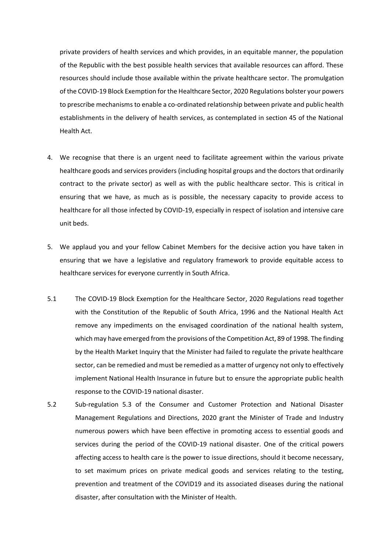private providers of health services and which provides, in an equitable manner, the population of the Republic with the best possible health services that available resources can afford. These resources should include those available within the private healthcare sector. The promulgation of the COVID-19 Block Exemption for the Healthcare Sector, 2020 Regulations bolster your powers to prescribe mechanisms to enable a co-ordinated relationship between private and public health establishments in the delivery of health services, as contemplated in section 45 of the National Health Act.

- 4. We recognise that there is an urgent need to facilitate agreement within the various private healthcare goods and services providers (including hospital groups and the doctors that ordinarily contract to the private sector) as well as with the public healthcare sector. This is critical in ensuring that we have, as much as is possible, the necessary capacity to provide access to healthcare for all those infected by COVID-19, especially in respect of isolation and intensive care unit beds.
- 5. We applaud you and your fellow Cabinet Members for the decisive action you have taken in ensuring that we have a legislative and regulatory framework to provide equitable access to healthcare services for everyone currently in South Africa.
- 5.1 The COVID-19 Block Exemption for the Healthcare Sector, 2020 Regulations read together with the Constitution of the Republic of South Africa, 1996 and the National Health Act remove any impediments on the envisaged coordination of the national health system, which may have emerged from the provisions of the Competition Act, 89 of 1998. The finding by the Health Market Inquiry that the Minister had failed to regulate the private healthcare sector, can be remedied and must be remedied as a matter of urgency not only to effectively implement National Health Insurance in future but to ensure the appropriate public health response to the COVID-19 national disaster.
- 5.2 Sub-regulation 5.3 of the Consumer and Customer Protection and National Disaster Management Regulations and Directions, 2020 grant the Minister of Trade and Industry numerous powers which have been effective in promoting access to essential goods and services during the period of the COVID-19 national disaster. One of the critical powers affecting access to health care is the power to issue directions, should it become necessary, to set maximum prices on private medical goods and services relating to the testing, prevention and treatment of the COVID19 and its associated diseases during the national disaster, after consultation with the Minister of Health.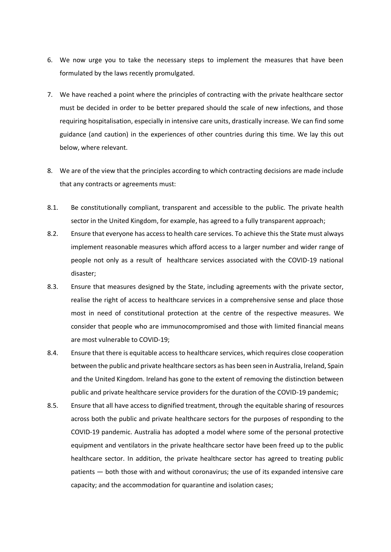- 6. We now urge you to take the necessary steps to implement the measures that have been formulated by the laws recently promulgated.
- 7. We have reached a point where the principles of contracting with the private healthcare sector must be decided in order to be better prepared should the scale of new infections, and those requiring hospitalisation, especially in intensive care units, drastically increase. We can find some guidance (and caution) in the experiences of other countries during this time. We lay this out below, where relevant.
- 8. We are of the view that the principles according to which contracting decisions are made include that any contracts or agreements must:
- 8.1. Be constitutionally compliant, transparent and accessible to the public. The private health sector in the United Kingdom, for example, has agreed to a fully transparent approach;
- 8.2. Ensure that everyone has access to health care services. To achieve this the State must always implement reasonable measures which afford access to a larger number and wider range of people not only as a result of healthcare services associated with the COVID-19 national disaster;
- 8.3. Ensure that measures designed by the State, including agreements with the private sector, realise the right of access to healthcare services in a comprehensive sense and place those most in need of constitutional protection at the centre of the respective measures. We consider that people who are immunocompromised and those with limited financial means are most vulnerable to COVID-19;
- 8.4. Ensure that there is equitable access to healthcare services, which requires close cooperation between the public and private healthcare sectors as has been seen in Australia, Ireland, Spain and the United Kingdom. Ireland has gone to the extent of removing the distinction between public and private healthcare service providers for the duration of the COVID-19 pandemic;
- 8.5. Ensure that all have access to dignified treatment, through the equitable sharing of resources across both the public and private healthcare sectors for the purposes of responding to the COVID-19 pandemic. Australia has adopted a model where some of the personal protective equipment and ventilators in the private healthcare sector have been freed up to the public healthcare sector. In addition, the private healthcare sector has agreed to treating public patients — both those with and without coronavirus; the use of its expanded intensive care capacity; and the accommodation for quarantine and isolation cases;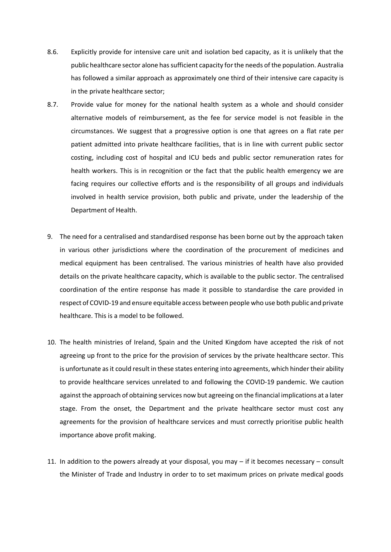- 8.6. Explicitly provide for intensive care unit and isolation bed capacity, as it is unlikely that the public healthcare sector alone has sufficient capacity for the needs of the population. Australia has followed a similar approach as approximately one third of their intensive care capacity is in the private healthcare sector;
- 8.7. Provide value for money for the national health system as a whole and should consider alternative models of reimbursement, as the fee for service model is not feasible in the circumstances. We suggest that a progressive option is one that agrees on a flat rate per patient admitted into private healthcare facilities, that is in line with current public sector costing, including cost of hospital and ICU beds and public sector remuneration rates for health workers. This is in recognition or the fact that the public health emergency we are facing requires our collective efforts and is the responsibility of all groups and individuals involved in health service provision, both public and private, under the leadership of the Department of Health.
- 9. The need for a centralised and standardised response has been borne out by the approach taken in various other jurisdictions where the coordination of the procurement of medicines and medical equipment has been centralised. The various ministries of health have also provided details on the private healthcare capacity, which is available to the public sector. The centralised coordination of the entire response has made it possible to standardise the care provided in respect of COVID-19 and ensure equitable access between people who use both public and private healthcare. This is a model to be followed.
- 10. The health ministries of Ireland, Spain and the United Kingdom have accepted the risk of not agreeing up front to the price for the provision of services by the private healthcare sector. This is unfortunate as it could result in these states entering into agreements, which hinder their ability to provide healthcare services unrelated to and following the COVID-19 pandemic. We caution against the approach of obtaining services now but agreeing on the financial implications at a later stage. From the onset, the Department and the private healthcare sector must cost any agreements for the provision of healthcare services and must correctly prioritise public health importance above profit making.
- 11. In addition to the powers already at your disposal, you may if it becomes necessary consult the Minister of Trade and Industry in order to to set maximum prices on private medical goods